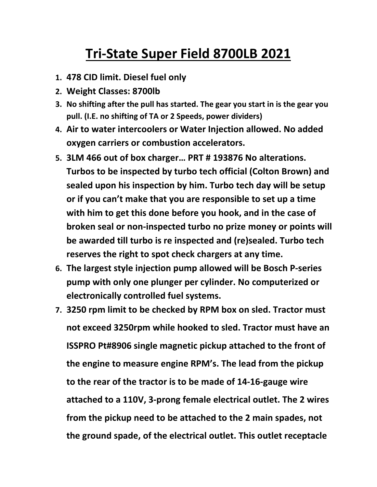## **Tri-State Super Field 8700LB 2021**

- **1. 478 CID limit. Diesel fuel only**
- **2. Weight Classes: 8700lb**
- **3. No shifting after the pull has started. The gear you start in is the gear you pull. (I.E. no shifting of TA or 2 Speeds, power dividers)**
- **4. Air to water intercoolers or Water Injection allowed. No added oxygen carriers or combustion accelerators.**
- **5. 3LM 466 out of box charger… PRT # 193876 No alterations. Turbos to be inspected by turbo tech official (Colton Brown) and sealed upon his inspection by him. Turbo tech day will be setup or if you can't make that you are responsible to set up a time with him to get this done before you hook, and in the case of broken seal or non-inspected turbo no prize money or points will be awarded till turbo is re inspected and (re)sealed. Turbo tech reserves the right to spot check chargers at any time.**
- **6. The largest style injection pump allowed will be Bosch P-series pump with only one plunger per cylinder. No computerized or electronically controlled fuel systems.**
- **7. 3250 rpm limit to be checked by RPM box on sled. Tractor must not exceed 3250rpm while hooked to sled. Tractor must have an ISSPRO Pt#8906 single magnetic pickup attached to the front of the engine to measure engine RPM's. The lead from the pickup to the rear of the tractor is to be made of 14-16-gauge wire attached to a 110V, 3-prong female electrical outlet. The 2 wires from the pickup need to be attached to the 2 main spades, not the ground spade, of the electrical outlet. This outlet receptacle**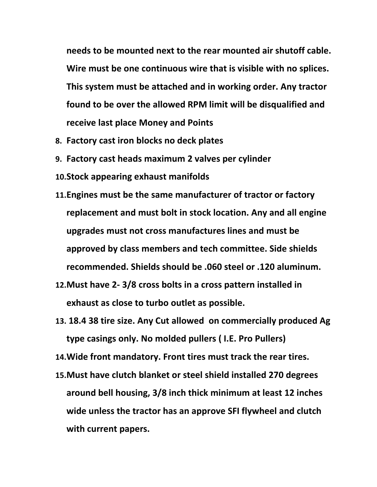**needs to be mounted next to the rear mounted air shutoff cable. Wire must be one continuous wire that is visible with no splices. This system must be attached and in working order. Any tractor found to be over the allowed RPM limit will be disqualified and receive last place Money and Points**

- **8. Factory cast iron blocks no deck plates**
- **9. Factory cast heads maximum 2 valves per cylinder**
- **10.Stock appearing exhaust manifolds**
- **11.Engines must be the same manufacturer of tractor or factory replacement and must bolt in stock location. Any and all engine upgrades must not cross manufactures lines and must be approved by class members and tech committee. Side shields recommended. Shields should be .060 steel or .120 aluminum.**
- **12.Must have 2- 3/8 cross bolts in a cross pattern installed in exhaust as close to turbo outlet as possible.**
- **13. 18.4 38 tire size. Any Cut allowed on commercially produced Ag type casings only. No molded pullers ( I.E. Pro Pullers)**
- **14.Wide front mandatory. Front tires must track the rear tires.**
- **15.Must have clutch blanket or steel shield installed 270 degrees around bell housing, 3/8 inch thick minimum at least 12 inches wide unless the tractor has an approve SFI flywheel and clutch with current papers.**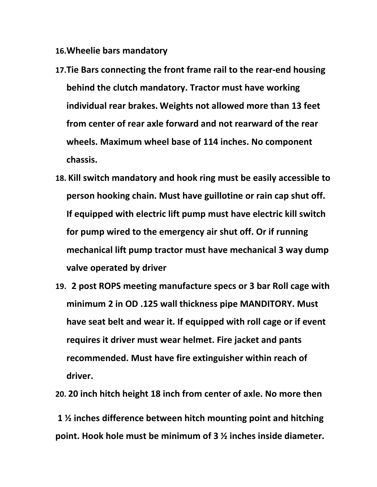- **16.Wheelie bars mandatory**
- **17.Tie Bars connecting the front frame rail to the rear-end housing behind the clutch mandatory. Tractor must have working individual rear brakes. Weights not allowed more than 13 feet from center of rear axle forward and not rearward of the rear wheels. Maximum wheel base of 114 inches. No component chassis.**
- **18. Kill switch mandatory and hook ring must be easily accessible to person hooking chain. Must have guillotine or rain cap shut off. If equipped with electric lift pump must have electric kill switch for pump wired to the emergency air shut off. Or if running mechanical lift pump tractor must have mechanical 3 way dump valve operated by driver**
- **19. 2 post ROPS meeting manufacture specs or 3 bar Roll cage with minimum 2 in OD .125 wall thickness pipe MANDITORY. Must have seat belt and wear it. If equipped with roll cage or if event requires it driver must wear helmet. Fire jacket and pants recommended. Must have fire extinguisher within reach of driver.**

**20. 20 inch hitch height 18 inch from center of axle. No more then**

**1 ½ inches difference between hitch mounting point and hitching point. Hook hole must be minimum of 3 ½ inches inside diameter.**